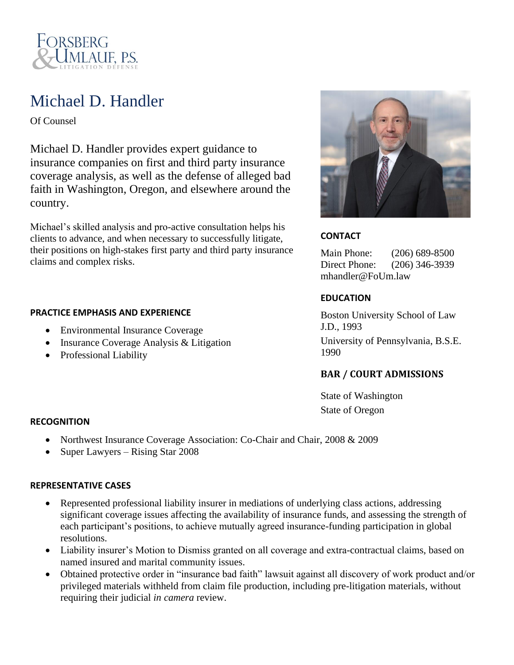

## Michael D. Handler

Of Counsel

Michael D. Handler provides expert guidance to insurance companies on first and third party insurance coverage analysis, as well as the defense of alleged bad faith in Washington, Oregon, and elsewhere around the country.

Michael's skilled analysis and pro-active consultation helps his clients to advance, and when necessary to successfully litigate, their positions on high-stakes first party and third party insurance claims and complex risks.

#### **PRACTICE EMPHASIS AND EXPERIENCE**

- Environmental Insurance Coverage
- Insurance Coverage Analysis & Litigation
- Professional Liability



## **CONTACT**

Main Phone: (206) 689-8500 Direct Phone: (206) 346-3939 mhandler@FoUm.law

## **EDUCATION**

Boston University School of Law J.D., 1993 University of Pennsylvania, B.S.E. 1990

## **BAR / COURT ADMISSIONS**

State of Washington State of Oregon

#### **RECOGNITION**

- Northwest Insurance Coverage Association: Co-Chair and Chair, 2008 & 2009
- Super Lawyers Rising Star 2008

#### **REPRESENTATIVE CASES**

- Represented professional liability insurer in mediations of underlying class actions, addressing significant coverage issues affecting the availability of insurance funds, and assessing the strength of each participant's positions, to achieve mutually agreed insurance-funding participation in global resolutions.
- Liability insurer's Motion to Dismiss granted on all coverage and extra-contractual claims, based on named insured and marital community issues.
- Obtained protective order in "insurance bad faith" lawsuit against all discovery of work product and/or privileged materials withheld from claim file production, including pre-litigation materials, without requiring their judicial *in camera* review.